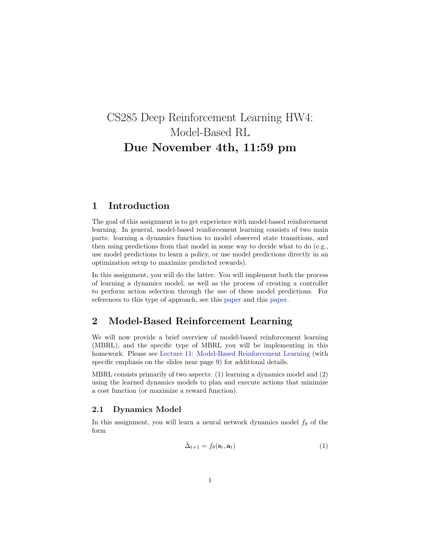# CS285 Deep Reinforcement Learning HW4: Model-Based RL Due November 4th, 11:59 pm

# 1 Introduction

The goal of this assignment is to get experience with model-based reinforcement learning. In general, model-based reinforcement learning consists of two main parts: learning a dynamics function to model observed state transitions, and then using predictions from that model in some way to decide what to do (e.g., use model predictions to learn a policy, or use model predictions directly in an optimization setup to maximize predicted rewards).

In this assignment, you will do the latter. You will implement both the process of learning a dynamics model, as well as the process of creating a controller to perform action selection through the use of these model predictions. For references to this type of approach, see this [paper](https://arxiv.org/pdf/1708.02596.pdf) and this [paper.](https://arxiv.org/pdf/1909.11652.pdf)

# 2 Model-Based Reinforcement Learning

We will now provide a brief overview of model-based reinforcement learning (MBRL), and the specific type of MBRL you will be implementing in this homework. Please see [Lecture 11: Model-Based Reinforcement Learning](http://rail.eecs.berkeley.edu/deeprlcourse/static/slides/lec-11.pdf) (with specific emphasis on the slides near page 9) for additional details.

MBRL consists primarily of two aspects: (1) learning a dynamics model and (2) using the learned dynamics models to plan and execute actions that minimize a cost function (or maximize a reward function).

### 2.1 Dynamics Model

In this assignment, you will learn a neural network dynamics model  $f_{\theta}$  of the form

$$
\hat{\Delta}_{t+1} = f_{\theta}(\mathbf{s}_t, \mathbf{a}_t) \tag{1}
$$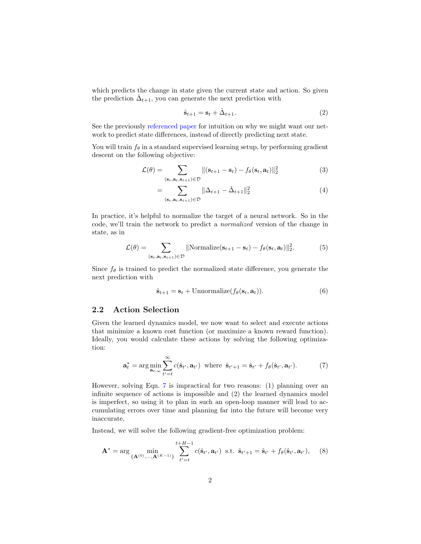which predicts the change in state given the current state and action. So given the prediction  $\hat{\Delta}_{t+1}$ , you can generate the next prediction with

<span id="page-1-2"></span>
$$
\hat{\mathbf{s}}_{t+1} = \mathbf{s}_t + \hat{\Delta}_{t+1}.\tag{2}
$$

See the previously [referenced paper](https://arxiv.org/pdf/1708.02596.pdf) for intuition on why we might want our network to predict state differences, instead of directly predicting next state.

You will train  $f_\theta$  in a standard supervised learning setup, by performing gradient descent on the following objective:

$$
\mathcal{L}(\theta) = \sum_{(\mathbf{s}_t, \mathbf{a}_t, \mathbf{s}_{t+1}) \in \mathcal{D}} \|(\mathbf{s}_{t+1} - \mathbf{s}_t) - f_{\theta}(\mathbf{s}_t, \mathbf{a}_t)\|_2^2 \tag{3}
$$

$$
=\sum_{(\mathbf{s}_t,\mathbf{a}_t,\mathbf{s}_{t+1})\in\mathcal{D}} \|\Delta_{t+1} - \hat{\Delta}_{t+1}\|_2^2 \tag{4}
$$

In practice, it's helpful to normalize the target of a neural network. So in the code, we'll train the network to predict a normalized version of the change in state, as in

$$
\mathcal{L}(\theta) = \sum_{(\mathbf{s}_t, \mathbf{a}_t, \mathbf{s}_{t+1}) \in \mathcal{D}} || \text{Normalize}(\mathbf{s}_{t+1} - \mathbf{s}_t) - f_{\theta}(\mathbf{s}_t, \mathbf{a}_t) ||_2^2.
$$
 (5)

Since  $f_{\theta}$  is trained to predict the normalized state difference, you generate the next prediction with

<span id="page-1-0"></span>
$$
\hat{\mathbf{s}}_{t+1} = \mathbf{s}_t + \text{Unnormalized}(f_{\theta}(\mathbf{s}_t, \mathbf{a}_t)). \tag{6}
$$

### 2.2 Action Selection

Given the learned dynamics model, we now want to select and execute actions that minimize a known cost function (or maximize a known reward function). Ideally, you would calculate these actions by solving the following optimization:

<span id="page-1-1"></span>
$$
\mathbf{a}_t^* = \arg\min_{\mathbf{a}_{t:\infty}} \sum_{t'=t}^{\infty} c(\hat{\mathbf{s}}_{t'}, \mathbf{a}_{t'}) \text{ where } \hat{\mathbf{s}}_{t'+1} = \hat{\mathbf{s}}_{t'} + f_\theta(\hat{\mathbf{s}}_{t'}, \mathbf{a}_{t'}). \tag{7}
$$

However, solving Eqn. [7](#page-1-0) is impractical for two reasons: (1) planning over an infinite sequence of actions is impossible and (2) the learned dynamics model is imperfect, so using it to plan in such an open-loop manner will lead to accumulating errors over time and planning far into the future will become very inaccurate.

Instead, we will solve the following gradient-free optimization problem:

$$
\mathbf{A}^* = \arg \min_{\{\mathbf{A}^{(0)},...,\mathbf{A}^{(K-1)}\}} \sum_{t'=t}^{t+H-1} c(\hat{\mathbf{s}}_{t'}, \mathbf{a}_{t'}) \text{ s.t. } \hat{\mathbf{s}}_{t'+1} = \hat{\mathbf{s}}_{t'} + f_{\theta}(\hat{\mathbf{s}}_{t'}, \mathbf{a}_{t'}), \quad (8)
$$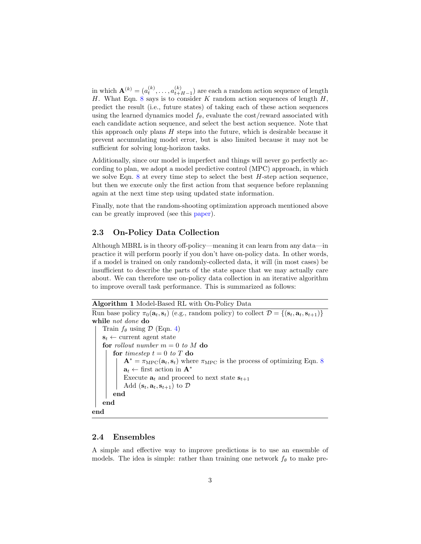in which  $\mathbf{A}^{(k)} = (a_t^{(k)}, \dots, a_{t+1}^{(k)})$  $\binom{k}{t+H-1}$  are each a random action sequence of length H. What Eqn. [8](#page-1-1) says is to consider K random action sequences of length  $H$ , predict the result (i.e., future states) of taking each of these action sequences using the learned dynamics model  $f_{\theta}$ , evaluate the cost/reward associated with each candidate action sequence, and select the best action sequence. Note that this approach only plans  $H$  steps into the future, which is desirable because it prevent accumulating model error, but is also limited because it may not be sufficient for solving long-horizon tasks.

Additionally, since our model is imperfect and things will never go perfectly according to plan, we adopt a model predictive control (MPC) approach, in which we solve Eqn.  $8$  at every time step to select the best  $H$ -step action sequence, but then we execute only the first action from that sequence before replanning again at the next time step using updated state information.

Finally, note that the random-shooting optimization approach mentioned above can be greatly improved (see this [paper\)](https://arxiv.org/pdf/1909.11652.pdf).

### 2.3 On-Policy Data Collection

Although MBRL is in theory off-policy—meaning it can learn from any data—in practice it will perform poorly if you don't have on-policy data. In other words, if a model is trained on only randomly-collected data, it will (in most cases) be insufficient to describe the parts of the state space that we may actually care about. We can therefore use on-policy data collection in an iterative algorithm to improve overall task performance. This is summarized as follows:

```
Algorithm 1 Model-Based RL with On-Policy Data
```

```
Run base policy \pi_0(\mathbf{a}_t, \mathbf{s}_t) (e.g., random policy) to collect \mathcal{D} = \{(\mathbf{s}_t, \mathbf{a}_t, \mathbf{s}_{t+1})\}while not done do
     Train f_{\theta} using \mathcal{D}4)
     s_t \leftarrow current agent state
     for rollout number m = 0 to M do
          for timestep t = 0 to T do
               \mathbf{A}^* = \pi_{\text{MPC}}(\mathbf{a}_t, \mathbf{s}_t) where \pi_{\text{MPC}}8
                \mathbf{a}_t \leftarrow \text{first action in } \mathbf{A}^*Execute \mathbf{a}_t and proceed to next state \mathbf{s}_{t+1}Add (\mathbf{s}_t, \mathbf{a}_t, \mathbf{s}_{t+1}) to \mathcal{D}end
    end
end
```
#### 2.4 Ensembles

A simple and effective way to improve predictions is to use an ensemble of models. The idea is simple: rather than training one network  $f_{\theta}$  to make pre-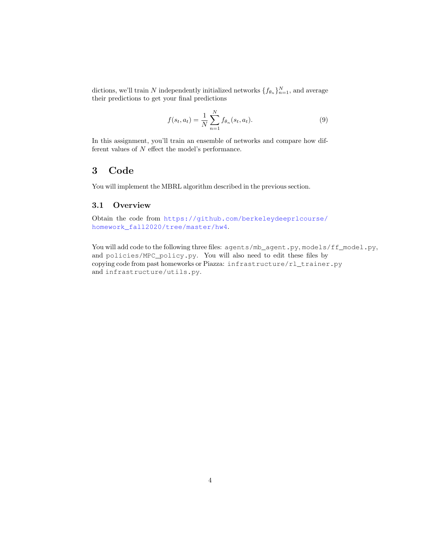dictions, we'll train N independently initialized networks  $\{f_{\theta_n}\}_{n=1}^N$ , and average their predictions to get your final predictions

$$
f(s_t, a_t) = \frac{1}{N} \sum_{n=1}^{N} f_{\theta_n}(s_t, a_t).
$$
 (9)

In this assignment, you'll train an ensemble of networks and compare how different values of  $N$  effect the model's performance.

# 3 Code

You will implement the MBRL algorithm described in the previous section.

### 3.1 Overview

Obtain the code from [https://github.com/berkeleydeeprlcourse/](https://github.com/berkeleydeeprlcourse/homework_fall2020/tree/master/hw4) [homework\\_fall2020/tree/master/hw4](https://github.com/berkeleydeeprlcourse/homework_fall2020/tree/master/hw4).

You will add code to the following three files: agents/mb\_agent.py, models/ff\_model.py, and policies/MPC\_policy.py. You will also need to edit these files by copying code from past homeworks or Piazza: infrastructure/rl\_trainer.py and infrastructure/utils.py.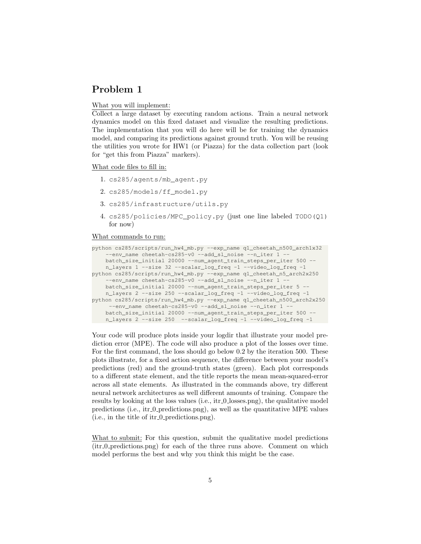What you will implement:

Collect a large dataset by executing random actions. Train a neural network dynamics model on this fixed dataset and visualize the resulting predictions. The implementation that you will do here will be for training the dynamics model, and comparing its predictions against ground truth. You will be reusing the utilities you wrote for HW1 (or Piazza) for the data collection part (look for "get this from Piazza" markers).

What code files to fill in:

- 1. cs285/agents/mb\_agent.py
- 2. cs285/models/ff\_model.py
- 3. cs285/infrastructure/utils.py
- 4. cs285/policies/MPC\_policy.py (just one line labeled TODO(Q1) for now)

#### What commands to run:

```
python cs285/scripts/run_hw4_mb.py --exp_name q1_cheetah_n500_arch1x32
    --env_name cheetah-cs285-v0 --add_sl_noise --n_iter 1 --
    batch_size_initial 20000 --num_agent_train_steps_per_iter 500 --
    n_layers 1 --size 32 --scalar_log_freq -1 --video_log_freq -1
python cs285/scripts/run_hw4_mb.py --exp_name q1_cheetah_n5_arch2x250
    --env_name cheetah-cs285-v0 --add_sl_noise --n_iter 1 -
   batch_size_initial 20000 --num_agent_train_steps_per_iter 5
    n_layers 2 --size 250 --scalar_log_freq -1 --video_log_freq -1
python cs285/scripts/run_hw4_mb.py --exp_name q1_cheetah_n500_arch2x250
     --env_name cheetah-cs285-v0 --add_sl_noise --n_iter 1 -
    batch_size_initial 20000 --num_agent_train_steps_per_iter 500 --
   n_layers 2 --size 250 --scalar_log_freq -1 --video_log_freq -1
```
Your code will produce plots inside your logdir that illustrate your model prediction error (MPE). The code will also produce a plot of the losses over time. For the first command, the loss should go below 0.2 by the iteration 500. These plots illustrate, for a fixed action sequence, the difference between your model's predictions (red) and the ground-truth states (green). Each plot corresponds to a different state element, and the title reports the mean mean-squared-error across all state elements. As illustrated in the commands above, try different neural network architectures as well different amounts of training. Compare the results by looking at the loss values (i.e., it r\_0\_losses.png), the qualitative model predictions (i.e., itr 0 predictions.png), as well as the quantitative MPE values (i.e., in the title of itr 0 predictions.png).

What to submit: For this question, submit the qualitative model predictions  $(itr_0_{\text{predictions}}$ , predictions.png) for each of the three runs above. Comment on which model performs the best and why you think this might be the case.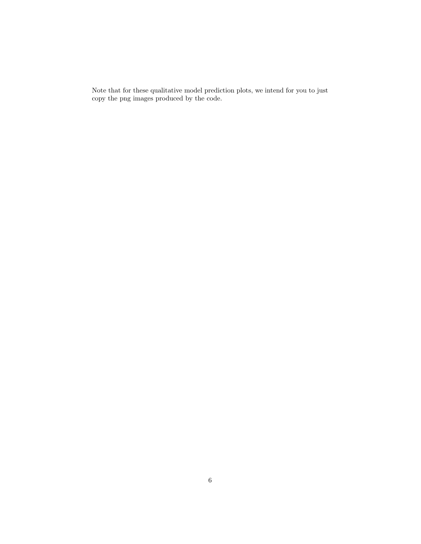Note that for these qualitative model prediction plots, we intend for you to just copy the png images produced by the code.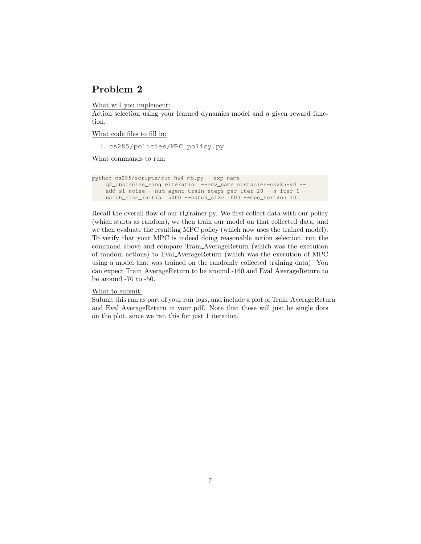What will you implement:

Action selection using your learned dynamics model and a given reward function.

What code files to fill in:

1. cs285/policies/MPC\_policy.py

What commands to run:

```
python cs285/scripts/run_hw4_mb.py --exp_name
    q2_obstacles_singleiteration --env_name obstacles-cs285-v0 --
    add_sl_noise --num_agent_train_steps_per_iter 20 --n_iter 1 --
    batch_size_initial 5000 --batch_size 1000 --mpc_horizon 10
```
Recall the overall flow of our rl\_trainer.py. We first collect data with our policy (which starts as random), we then train our model on that collected data, and we then evaluate the resulting MPC policy (which now uses the trained model). To verify that your MPC is indeed doing reasonable action selection, run the command above and compare Train AverageReturn (which was the execution of random actions) to Eval AverageReturn (which was the execution of MPC using a model that was trained on the randomly collected training data). You can expect Train AverageReturn to be around -160 and Eval AverageReturn to be around -70 to -50.

#### What to submit:

Submit this run as part of your run logs, and include a plot of Train AverageReturn and Eval AverageReturn in your pdf. Note that these will just be single dots on the plot, since we ran this for just 1 iteration.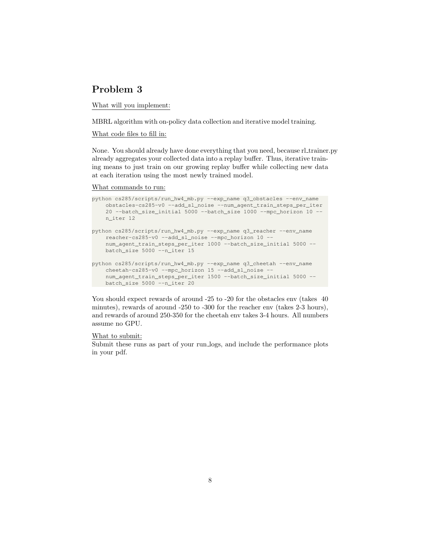What will you implement:

MBRL algorithm with on-policy data collection and iterative model training.

#### What code files to fill in:

None. You should already have done everything that you need, because rl trainer.py already aggregates your collected data into a replay buffer. Thus, iterative training means to just train on our growing replay buffer while collecting new data at each iteration using the most newly trained model.

#### What commands to run:

```
python cs285/scripts/run_hw4_mb.py --exp_name q3_obstacles --env_name
    obstacles-cs285-v0 --add_sl_noise --num_agent_train_steps_per_iter
    20 --batch_size_initial 5000 --batch_size 1000 --mpc_horizon 10 --
   n_iter 12
python cs285/scripts/run_hw4_mb.py --exp_name q3_reacher --env_name
    reacher-cs285-v0 --add_sl_noise --mpc_horizon 10 --
    num_agent_train_steps_per_iter 1000 --batch_size_initial 5000 --
   batch_size 5000 --n_iter 15
python cs285/scripts/run_hw4_mb.py --exp_name q3_cheetah --env_name
    cheetah-cs285-v0 --mpc_horizon 15 --add_sl_noise --
    num_agent_train_steps_per_iter 1500 --batch_size_initial 5000 --
   batch_size 5000 --n_iter 20
```
You should expect rewards of around -25 to -20 for the obstacles env (takes 40 minutes), rewards of around -250 to -300 for the reacher env (takes 2-3 hours), and rewards of around 250-350 for the cheetah env takes 3-4 hours. All numbers assume no GPU.

#### What to submit:

Submit these runs as part of your run logs, and include the performance plots in your pdf.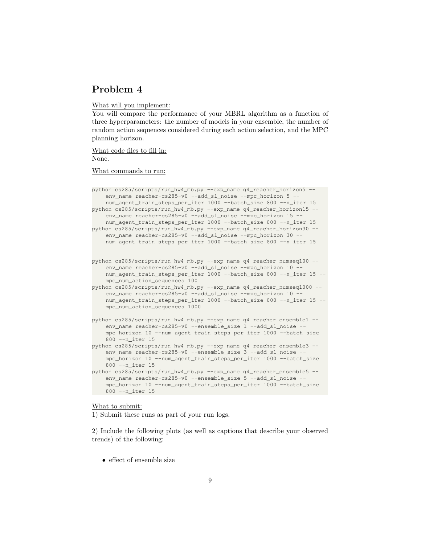What will you implement:

You will compare the performance of your MBRL algorithm as a function of three hyperparameters: the number of models in your ensemble, the number of random action sequences considered during each action selection, and the MPC planning horizon.

What code files to fill in: None.

What commands to run:

```
python cs285/scripts/run_hw4_mb.py --exp_name q4_reacher_horizon5 --
    env_name reacher-cs285-v0 --add_sl_noise --mpc_horizon 5
    num_agent_train_steps_per_iter 1000 --batch_size 800 --n_iter 15
python cs285/scripts/run_hw4_mb.py --exp_name q4_reacher_horizon15 --
    env_name reacher-cs285-v0 --add_sl_noise --mpc_horizon 15 -
    num_agent_train_steps_per_iter 1000 --batch_size 800 --n_iter 15
python cs285/scripts/run_hw4_mb.py --exp_name q4_reacher_horizon30 --
    env_name reacher-cs285-v0 --add_sl_noise --mpc_horizon 30 --
    num_agent_train_steps_per_iter 1000 --batch_size 800 --n_iter 15
```

```
python cs285/scripts/run_hw4_mb.py --exp_name q4_reacher_numseq100 --
    env_name reacher-cs285-v0 --add_sl_noise --mpc_horizon 10 -
    num_agent_train_steps_per_iter 1000 --batch_size 800 --n_iter 15 --
    mpc_num_action_sequences 100
```
python cs285/scripts/run\_hw4\_mb.py --exp\_name q4\_reacher\_numseq1000 - env\_name reacher-cs285-v0 --add\_sl\_noise --mpc\_horizon 10 num\_agent\_train\_steps\_per\_iter 1000 --batch\_size 800 --n\_iter 15 - mpc\_num\_action\_sequences 1000

```
python cs285/scripts/run_hw4_mb.py --exp_name q4_reacher_ensemble1 --
    env_name reacher-cs285-v0 --ensemble_size 1 --add_sl_noise
    mpc_horizon 10 --num_agent_train_steps_per_iter 1000 --batch_size
    800 --n_iter 15
```

```
python cs285/scripts/run_hw4_mb.py --exp_name q4_reacher_ensemble3 --
   env_name reacher-cs285-v0 --ensemble_size 3 --add_sl_noise -
   mpc_horizon 10 --num_agent_train_steps_per_iter 1000 --batch_size
   800 --n_iter 15
```

```
python cs285/scripts/run_hw4_mb.py --exp_name q4_reacher_ensemble5 --
   env_name reacher-cs285-v0 --ensemble_size 5 --add_sl_noise -
   mpc_horizon 10 --num_agent_train_steps_per_iter 1000 --batch_size
   800 --n_iter 15
```
#### What to submit:

1) Submit these runs as part of your run logs.

2) Include the following plots (as well as captions that describe your observed trends) of the following:

• effect of ensemble size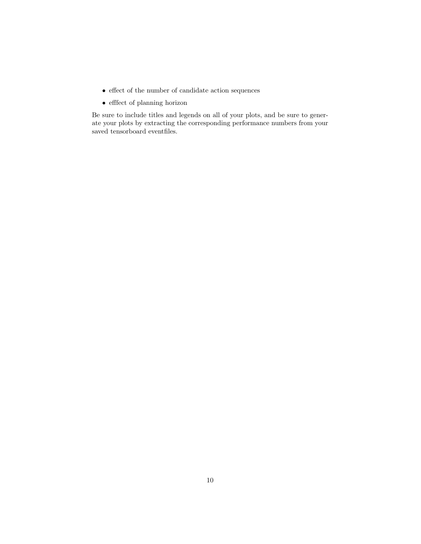- $\bullet\,$  effect of the number of candidate action sequences
- $\bullet\,$  effect of planning horizon

Be sure to include titles and legends on all of your plots, and be sure to generate your plots by extracting the corresponding performance numbers from your saved tensorboard eventfiles.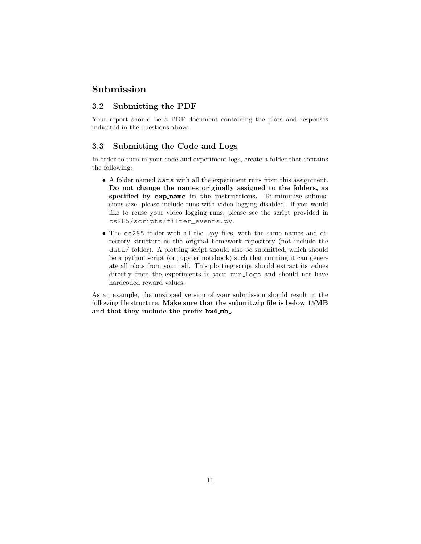# Submission

### 3.2 Submitting the PDF

Your report should be a PDF document containing the plots and responses indicated in the questions above.

### 3.3 Submitting the Code and Logs

In order to turn in your code and experiment logs, create a folder that contains the following:

- A folder named data with all the experiment runs from this assignment. Do not change the names originally assigned to the folders, as specified by **exp name** in the instructions. To minimize submissions size, please include runs with video logging disabled. If you would like to reuse your video logging runs, please see the script provided in cs285/scripts/filter\_events.py.
- The cs285 folder with all the .py files, with the same names and directory structure as the original homework repository (not include the data/ folder). A plotting script should also be submitted, which should be a python script (or jupyter notebook) such that running it can generate all plots from your pdf. This plotting script should extract its values directly from the experiments in your run logs and should not have hardcoded reward values.

As an example, the unzipped version of your submission should result in the following file structure. Make sure that the submit.zip file is below 15MB and that they include the prefix **hw4 mb** .